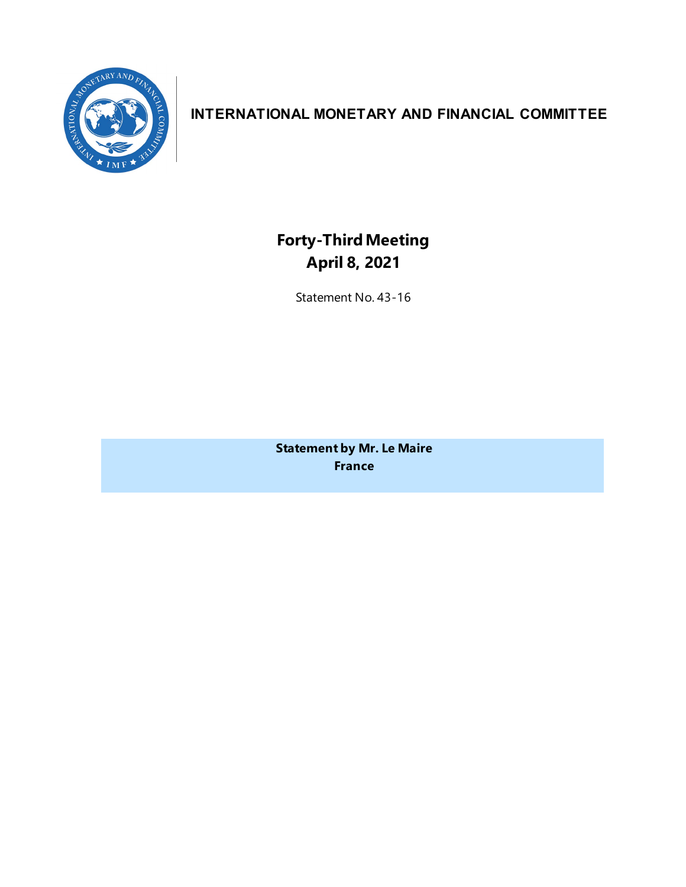

# **INTERNATIONAL MONETARY AND FINANCIAL COMMITTEE**

**Forty-ThirdMeeting April 8, 2021**

Statement No. 43-16

**Statement by Mr. Le Maire France**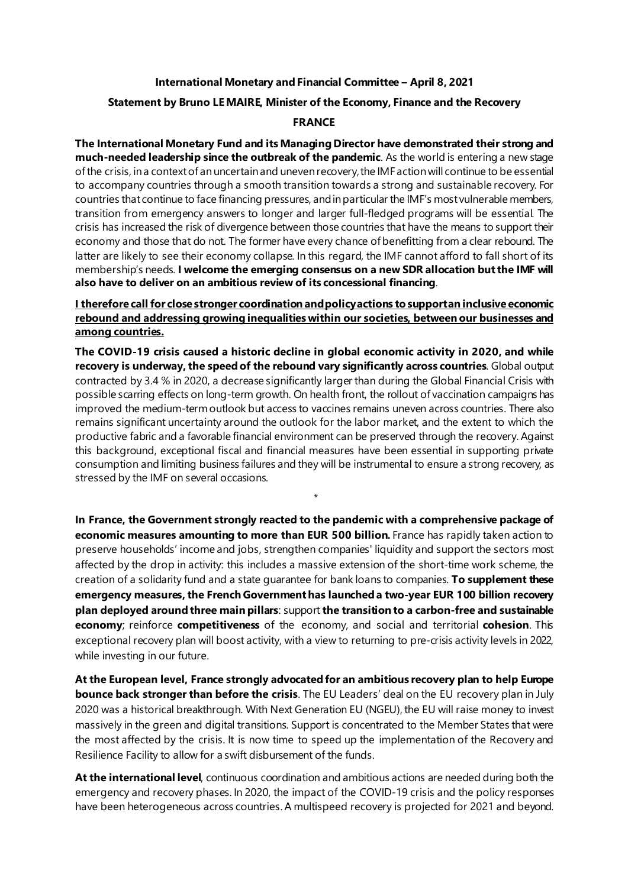## **International Monetary and Financial Committee – April 8, 2021**

## **Statement by Bruno LE MAIRE, Minister of the Economy, Finance and the Recovery**

#### **FRANCE**

**The International Monetary Fund and its Managing Director have demonstrated their strong and much-needed leadership since the outbreak of the pandemic**. As the world is entering a new stage of the crisis, in a context of an uncertain and uneven recovery, the IMF action will continue to be essential to accompany countries through a smooth transition towards a strong and sustainable recovery. For countries that continue to face financing pressures, and in particular the IMF's most vulnerable members, transition from emergency answers to longer and larger full-fledged programs will be essential. The crisis has increased the risk of divergence between those countries that have the means to support their economy and those that do not. The former have every chance of benefitting from a clear rebound. The latter are likely to see their economy collapse. In this regard, the IMF cannot afford to fall short of its membership's needs. **I welcome the emerging consensus on a new SDR allocation but the IMF will also have to deliver on an ambitious review of its concessional financing**.

# **I therefore call for close stronger coordination and policy actions to support an inclusive economic rebound and addressing growing inequalities within our societies, between our businesses and among countries.**

**The COVID-19 crisis caused a historic decline in global economic activity in 2020, and while recovery is underway, the speed of the rebound vary significantly across countries**. Global output contracted by 3.4 % in 2020, a decrease significantly larger than during the Global Financial Crisis with possible scarring effects on long-term growth. On health front, the rollout of vaccination campaigns has improved the medium-term outlook but access to vaccines remains uneven across countries. There also remains significant uncertainty around the outlook for the labor market, and the extent to which the productive fabric and a favorable financial environment can be preserved through the recovery. Against this background, exceptional fiscal and financial measures have been essential in supporting private consumption and limiting business failures and they will be instrumental to ensure a strong recovery, as stressed by the IMF on several occasions.

*\**

**In France, the Government strongly reacted to the pandemic with a comprehensive package of economic measures amounting to more than EUR 500 billion.** France has rapidly taken action to preserve households' income and jobs, strengthen companies' liquidity and support the sectors most affected by the drop in activity: this includes a massive extension of the short-time work scheme, the creation of a solidarity fund and a state guarantee for bank loans to companies. **To supplement these emergency measures, the French Government has launched a two-year EUR 100 billion recovery plan deployed around three main pillars**: support **the transition to a carbon-free and sustainable economy**; reinforce **competitiveness** of the economy, and social and territorial **cohesion**. This exceptional recovery plan will boost activity, with a view to returning to pre-crisis activity levels in 2022, while investing in our future.

**At the European level, France strongly advocated for an ambitious recovery plan to help Europe bounce back stronger than before the crisis**. The EU Leaders' deal on the EU recovery plan in July 2020 was a historical breakthrough. With Next Generation EU (NGEU), the EU will raise money to invest massively in the green and digital transitions. Support is concentrated to the Member States that were the most affected by the crisis. It is now time to speed up the implementation of the Recovery and Resilience Facility to allow for a swift disbursement of the funds.

**At the international level**, continuous coordination and ambitious actions are needed during both the emergency and recovery phases. In 2020, the impact of the COVID-19 crisis and the policy responses have been heterogeneous across countries. A multispeed recovery is projected for 2021 and beyond.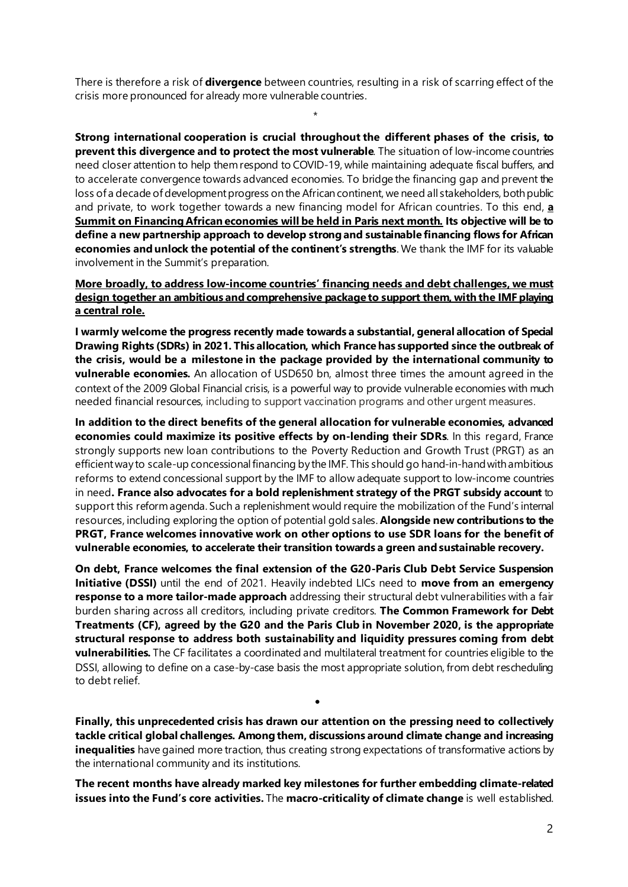There is therefore a risk of **divergence** between countries, resulting in a risk of scarring effect of the crisis more pronounced for already more vulnerable countries.

\*

**Strong international cooperation is crucial throughout the different phases of the crisis, to prevent this divergence and to protect the most vulnerable**. The situation of low-income countries need closer attention to help themrespond to COVID-19, while maintaining adequate fiscal buffers, and to accelerate convergence towards advanced economies. To bridge the financing gap and prevent the loss of a decade of development progress on the African continent, we need all stakeholders, both public and private, to work together towards a new financing model for African countries. To this end, **a Summit on Financing African economies will be held in Paris next month. Its objective will be to define a new partnership approach to develop strong and sustainable financing flows for African economies and unlock the potential of the continent's strengths**. We thank the IMF for its valuable involvement in the Summit's preparation.

# **More broadly, to address low-income countries' financing needs and debt challenges, we must design together an ambitious andcomprehensive package to support them, with the IMF playing a central role.**

**I warmly welcome the progress recently made towards a substantial, general allocation of Special Drawing Rights (SDRs) in 2021. This allocation, which France has supported since the outbreak of the crisis, would be a milestone in the package provided by the international community to vulnerable economies.** An allocation of USD650 bn, almost three times the amount agreed in the context of the 2009 Global Financial crisis, is a powerful way to provide vulnerable economies with much needed financial resources, including to support vaccination programs and other urgent measures.

**In addition to the direct benefits of the general allocation for vulnerable economies, advanced economies could maximize its positive effects by on-lending their SDRs**. In this regard, France strongly supports new loan contributions to the Poverty Reduction and Growth Trust (PRGT) as an efficient way to scale-up concessional financing by the IMF. This should go hand-in-hand with ambitious reforms to extend concessional support by the IMF to allow adequate support to low-income countries in need**. France also advocates for a bold replenishment strategy of the PRGT subsidy account** to support this reform agenda. Such a replenishment would require the mobilization of the Fund's internal resources, including exploring the option of potential gold sales. **Alongside new contributions to the PRGT, France welcomes innovative work on other options to use SDR loans for the benefit of vulnerable economies, to accelerate their transition towards a green and sustainable recovery.** 

**On debt, France welcomes the final extension of the G20-Paris Club Debt Service Suspension Initiative (DSSI)** until the end of 2021. Heavily indebted LICs need to **move from an emergency response to a more tailor-made approach** addressing their structural debt vulnerabilities with a fair burden sharing across all creditors, including private creditors. **The Common Framework for Debt Treatments (CF), agreed by the G20 and the Paris Club in November 2020, is the appropriate structural response to address both sustainability and liquidity pressures coming from debt vulnerabilities.** The CF facilitates a coordinated and multilateral treatment for countries eligible to the DSSI, allowing to define on a case-by-case basis the most appropriate solution, from debt rescheduling to debt relief.

**Finally, this unprecedented crisis has drawn our attention on the pressing need to collectively tackle critical global challenges. Among them, discussions around climate change and increasing inequalities** have gained more traction, thus creating strong expectations of transformative actions by the international community and its institutions.

•

**The recent months have already marked key milestones for further embedding climate-related issues into the Fund's core activities.** The **macro-criticality of climate change** is well established.